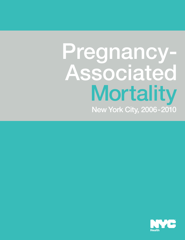# Pregnancy-Associated New York City, 2006-2010 **Mortality**

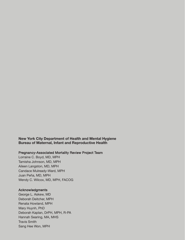**New York City Department of Health and Mental Hygiene Bureau of Maternal, Infant and Reproductive Health**

#### Pregnancy-Associated Mortality Review Project Team

Lorraine C. Boyd, MD, MPH Tamisha Johnson, MD, MPH Aileen Langston, MD, MPH Candace Mulready-Ward, MPH Juan Peña, MD, MPH Wendy C. Wilcox, MD, MPH, FACOG

#### **Acknowledgments**

George L. Askew, MD Deborah Deitcher, MPH Renata Howland, MPH Mary Huynh, PhD Deborah Kaplan, DrPH, MPH, R-PA Hannah Searing, MA, MHS Travis Smith Sang Hee Won, MPH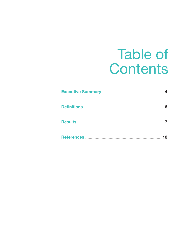### **Table of** Contents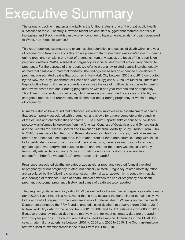## Executive Summary

The dramatic decline in maternal mortality in the United States is one of the great public health successes of the 20<sup>th</sup> century. However, recent national data suggest that maternal mortality is increasing, and Black, non-Hispanic women continue to have an elevated risk of death compared to White, non-Hispanic women. 1

This report provides estimates and examines characteristics and causes of death within one year of pregnancy in New York City. Although we present data on *pregnancy-associated deaths* (deaths during pregnancy or within one year of pregnancy from any cause), the focus of the report is on *pregnancy-related deaths*, a subset of pregnancy-associated deaths that are causally related to pregnancy. For the purpose of this report, we refer to pregnancy-related deaths interchangeably as maternal deaths and maternal mortality. The findings are based on enhanced surveillance of pregnancy-associated deaths that occurred in New York City between 2006 and 2010 conducted by the New York City Department of Health and Mental Hygiene's Bureau of Maternal, Infant and Reproductive Health. Enhanced surveillance involves the use of multiple data sources to identify and review deaths that occur during pregnancy or within one year from the end of pregnancy. This differs from standard surveillance, which relies only on death certificate data to identify and categorize deaths, and reports only on deaths that occur during pregnancy or within 42 days of pregnancy.

Numerous studies have found that enhanced surveillance improves case ascertainment of deaths that are temporally associated with pregnancy, and allows for a more complete understanding of the causes and characteristics of deaths. <sup>2,3</sup> The Health Department's enhanced surveillance protocol was informed by guidelines from the American Congress of Obstetricians and Gynecologists and the Centers for Disease Control and Prevention Maternal Mortality Study Group. <sup>4</sup> From 2006 to 2010, cases were identified using three data sources: death certificates, medical examiner records and hospital discharge data. Information from all three data sources, along with linked birth certificate information and hospital medical records, were reviewed by an obstetrician/ gynecologist, who determined cause of death and whether the death was causally or only temporally related to pregnancy. More information on this methodology is available at: [nyc.gov/html/doh/downloads/pdf/ms/ms-report-online.pdf.](www.nyc.gov/html/doh/downloads/pdf/ms/ms-report-online.pdf) 5

Pregnancy-associated deaths are categorized as either pregnancy-related (causally related to pregnancy) or not pregnancy-related (not causally related). Pregnancy-related mortality ratios are calculated by the following characteristics: maternal age, race/ethnicity, education, nativity and borough of residence. Place of death, interval between the end of pregnancy and death, pregnancy outcome, pregnancy history and cause of death are also reported.

The pregnancy-related mortality ratio (PRMR) is defined as the number of pregnancy-related deaths per 100,000 live births. It is a ratio, rather than a rate, because the denominator contains only live births and not all pregnant women who are at risk of maternal death. Where possible, the Health Department compared the PRMR and characteristics of deaths that occurred from 2006 to 2010 to New York City data for the period from 2001 to 2005 and to U.S. estimates for 2006 to 2010. 1 Because pregnancy-related deaths are relatively rare, for most estimates, data are grouped in two five-year periods. The chi-square test was used to examine differences in the PRMR by select maternal characteristics between 2001 to 2005 and 2006 to 2010. The Cochran-Armitage test was used to examine trends in the PRMR from 2001 to 2010.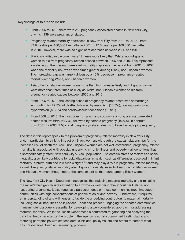Key findings of this report include:

- From 2006 to 2010, there were 252 pregnancy-associated deaths in New York City, of which 139 were pregnancy-related.
- Pregnancy-related mortality decreased in New York City from 2001 to 2010 from 33.9 deaths per 100,000 live births in 2001 to 17.6 deaths per 100,000 live births in 2010. However, there was no significant decrease between 2006 and 2010.
- • Black, non-Hispanic women were 12 times more likely than White, non-Hispanic women to die from pregnancy-related causes between 2006 and 2010. This represents a widening of the pregnancy-related mortality gap since the period from 2001 to 2005, when the mortality risk was seven times greater among Black, non-Hispanic women. The increasing gap was largely driven by a 45% decrease in pregnancy-related mortality among White, non-Hispanic women.
- • Asian/Pacific Islander women were more than four times as likely and Hispanic women were more than three times as likely as White, non-Hispanic women to die from pregnancy-related causes between 2006 and 2010.
- • From 2006 to 2010, the leading cause of pregnancy-related death was hemorrhage, accounting for 27.3% of deaths, followed by embolism (18.7%), pregnancy-induced hypertension (13.7%) and cardiovascular conditions (12.9%).
- From 2006 to 2010, the most common pregnancy outcome among pregnancy-related deaths was live birth (64.7%), followed by ectopic pregnancy (10.8%); in contrast, from 2001 to 2005, 2.5% of all pregnancy-related deaths followed an ectopic pregnancy.

The data in this report speak to the problem of pregnancy-related mortality in New York City and, in particular, its striking impact on Black women. Although the causal relationships for the increased risk of death for Black, non-Hispanic women are not well established, pregnancy-related mortality is associated with obesity, underlying chronic illness and poverty – all conditions that disproportionately affect New York City's Black population. The chronic stress of racism and social inequality also likely contribute to racial disparities in health, such as differences observed in infant mortality, preterm birth and low birth weight,<sup>6,7,8</sup> and may play a role in pregnancy-related mortality, as well. Pregnancy-related mortality also disproportionately impacts Asian/Pacific Islander women and Hispanic women, though not to the same extent as that found among Black women.

The New York City Health Department recognizes that reducing maternal mortality and eliminating the racial/ethnic gap requires attention to a woman's well-being throughout her lifetime, not just during pregnancy. It also requires a particular focus on those communities most impacted – communities with high concentrations of people of color and poverty. Furthermore, it requires an understanding of and willingness to tackle the underlying contributors to maternal mortality, including social inequities and injustices – past and present. Engaging the affected communities in meaningful dialogue is essential for developing a well-considered approach for addressing maternal mortality. While the Health Department is committed to gathering and analyzing the data that help characterize the problem, the agency is equally committed to stimulating and fostering partnerships with stakeholders, clinicians, policymakers and others to combat what has, for decades, been an unrelenting problem.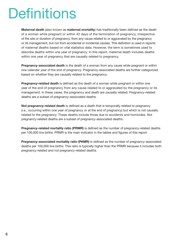## **Definitions**

**Maternal death** (also known as **maternal mortality**) has traditionally been defined as the death of a woman while pregnant or within 42 days of the termination of pregnancy, irrespective of the site or duration of pregnancy, from any cause related to or aggravated by the pregnancy or its management, but not from accidental or incidental causes. This definition is used in reports of maternal deaths based on vital statistics data. However, the term is sometimes used to describe deaths within one year of pregnancy. In this report, maternal death includes deaths within one year of pregnancy that are causally related to pregnancy.

**Pregnancy-associated death** is the death of a woman from any cause while pregnant or within one calendar year of the end of pregnancy. Pregnancy-associated deaths are further categorized based on whether they are causally related to the pregnancy.

**Pregnancy-related death** is defined as the death of a woman while pregnant or within one year of the end of pregnancy from any cause related to or aggravated by the pregnancy or its management. In these cases, the pregnancy and death are causally related. Pregnancy-related deaths are a subset of pregnancy-associated deaths.

**Not pregnancy-related death** is defined as a death that is temporally related to pregnancy (i.e., occurring within one year of pregnancy or at the end of pregnancy) but which is not causally related to the pregnancy. These deaths include those due to accidents and homicides. Not pregnancy-related deaths are a subset of pregnancy-associated deaths.

**Pregnancy-related mortality ratio (PRMR)** is defined as the number of pregnancy-related deaths per 100,000 live births. PRMR is the main indicator in the tables and figures of this report.

**Pregnancy-associated mortality ratio (PAMR)** is defined as the number of pregnancy-associated deaths per 100,000 live births. This ratio is typically higher than the PRMR because it includes both pregnancy-related and not pregnancy-related deaths.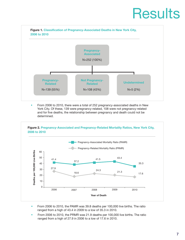## **Results**



• • From 2006 to 2010, there were a total of 252 pregnancy-associated deaths in New York City. Of these, 139 were pregnancy-related, 108 were not pregnancy-related and for five deaths, the relationship between pregnancy and death could not be determined. Figure 2. Pregnancy-Associated and Pregnancy-Related Mortality Ratios, New York City, 2006 to 2006 to 2010 to 2010 to 2010 to 2010 to 2010 to 2010 to 2010 to 2010 to 2010 to 2010 to 2010 to 2010 to 2010 to 2010



- • From 2006 to 2010, the PAMR was 39.8 deaths per 100,000 live births. The ratio ranged from a high of 43.4 in 2009 to a low of 35.3 in 2010.
- • From 2006 to 2010, the PRMR was 21.9 deaths per 100,000 live births. The ratio ranged from a high of 27.9 in 2006 to a low of 17.6 in 2010.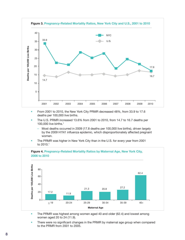

- From 2001 to 2010, the New York City PRMR decreased 48%, from 33.9 to 17.6 deaths per 100,000 live births.
- • The U.S. PRMR increased 13.6% from 2001 to 2010, from 14.7 to 16.7 deaths per 100,000 live births. 1
	- Most deaths occurred in 2009 (17.8 deaths per 100,000 live births), driven largely by the 2009 H1N1 influenza epidemic, which disproportionately affected pregnant women.
- The PRMR was higher in New York City than in the U.S. for every year from 2001<br>to 2010 1 to 2010. 1



#### **Figure 4. Pregnancy-Related Mortality Ratios by Maternal Age, New York City,**

• The PRMR was highest among women aged 40 and older (62.4) and lowest among women aged 20 to 24 (11.9).

There were no significant changes in the PRMR by maternal age group when compared to the PRMR from 2001 to 2005.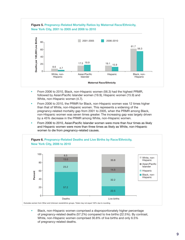

- From 2006 to 2010, Black, non-Hispanic women (56.3) had the highest PRMR, followed by Asian/Pacific Islander women (19.9), Hispanic women (15.9) and White, non-Hispanic women (4.7).
- • From 2006 to 2010, the PRMR for Black, non-Hispanic women was 12 times higher than that of White, non-Hispanic women. This represents a widening of the pregnancy-related mortality gap from 2001 to 2005, when the PRMR among Black, non-Hispanic women was seven times greater. The increasing gap was largely driven by a 45% decrease in the PRMR among White, non-Hispanic women.
- and Hispanic women were more than three times as likely as White, non-Hispanic • • From 2006 to 2010, Asian/Pacific Islander women were more than four times as likely women to die from pregnancy-related causes.



• • Black, non-Hispanic women comprised a disproportionately higher percentage of pregnancy-related deaths (57.2%) compared to live births (22.5%). By contrast, White, non-Hispanic women comprised 30.8% of live births and only 6.5% of pregnancy-related deaths.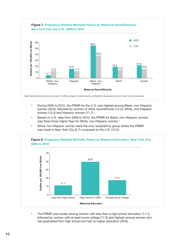

- During 2006 to 2010, the PRMR for the U.S. was highest among Black, non-Hispanic women (38.9), followed by women of Other race/ethnicity (14.2), White, non-Hispanic women (12.0) and Hispanic women (11.7).<sup>1</sup>
- • Based on U.S. data from 2006 to 2010, the PRMR for Black, non-Hispanic women was three times higher than for White, non-Hispanic women. 1
- • White, non-Hispanic women were the only racial/ethnic group where the PRMR was lower in New York City (4.7) compared to the U.S. (12.0).



The PRMR was lowest among women with less than a high school education (11.7), followed by women with at least some college (17.5) and highest among women who had graduated from high school but had no higher education (39.8).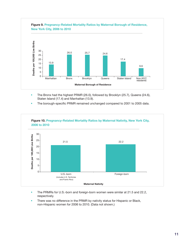

- The Bronx had the highest PRMR (26.0), followed by Brooklyn (25.7), Queens (24.6), Staten Island (17.4) and Manhattan (13.9).
- The borough-specific PRMR remained unchanged compared to 2001 to 2005 data.



- The PRMRs for U.S.-born and foreign-born women were similar at 21.5 and 22.2, respectively.
- There was no difference in the PRMR by nativity status for Hispanic or Black, non-Hispanic women for 2006 to 2010. (Data not shown.)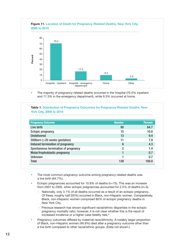

• The majority of pregnancy-related deaths occurred in the hospital (70.5% inpatient and 17.3% in the emergency department), while 9.3% occurred at home.

| <b>York City, 2006 to 2010</b>       |                |                |  |  |
|--------------------------------------|----------------|----------------|--|--|
| <b>Pregnancy Outcome</b>             | <b>Number</b>  | <b>Percent</b> |  |  |
| Live birth                           | 90             | 64.7           |  |  |
| <b>Ectopic pregnancy</b>             | 15             | 10.8           |  |  |
| <b>Undelivered</b>                   | 13             | 9.4            |  |  |
| Stillborn (>20 weeks gestation)      | 11             | 7.9            |  |  |
| Induced termination of pregnancy     | 6              | 4.3            |  |  |
| Spontaneous termination of pregnancy | $\mathfrak{p}$ | 1.4            |  |  |
| Molar/trophoblastic pregnancy        |                | 0.7            |  |  |
| <b>Unknown</b>                       |                | 0.7            |  |  |
| Total                                | 139            | 100.0          |  |  |

- The most common pregnancy outcome among pregnancy-related deaths was a live birth (64.7%).
- Ectopic pregnancies accounted for 10.8% of deaths ( $n=15$ ). This was an increase from 2001 to 2005, when ectopic pregnancies accounted for 2.5% of deaths (n=4).
	- Nationally, only 3.1% of all deaths occurred as a result of an ectopic pregnancy. Of these, roughly half (55%) occurred in Black, non-Hispanic women. Comparatively, Black, non-Hispanic women comprised 80% of ectopic pregnancy deaths in New York City.
	- – Previous research has shown significant racial/ethnic disparities in the ectopic pregnancy mortality ratio; however, it is not clear whether this is the result of increased incidence or a higher case-fatality rate. 9
- • Pregnancy outcomes differed by maternal race/ethnicity. A notably larger proportion of Black, non-Hispanic women (46.8%) died after a pregnancy outcome other than a live birth compared to other racial/ethnic groups. (Data not shown.)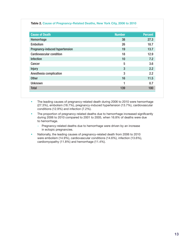#### **Table 2. Cause of Pregnancy-Related Deaths, New York City, 2006 to 2010**

| <b>Cause of Death</b>                 | <b>Number</b> | <b>Percent</b> |
|---------------------------------------|---------------|----------------|
| Hemorrhage                            | 38            | 27.3           |
| <b>Embolism</b>                       | 26            | 18.7           |
| <b>Pregnancy-induced hypertension</b> | 19            | 13.7           |
| <b>Cardiovascular condition</b>       | 18            | 12.9           |
| <b>Infection</b>                      | 10            | 7.2            |
| Cancer                                | 5             | 3.6            |
| <b>Injury</b>                         | 3             | 2.2            |
| Anesthesia complication               | 3             | 2.2            |
| <b>Other</b>                          | 16            | 11.5           |
| <b>Unknown</b>                        |               | 0.7            |
| <b>Total</b>                          | 139           | 100            |

The leading causes of pregnancy-related death during 2006 to 2010 were hemorrhage (27.3%), embolism (18.7%), pregnancy-induced hypertension (13.7%), cardiovascular conditions (12.9%) and infection (7.2%).

- The proportion of pregnancy-related deaths due to hemorrhage increased significantly during 2006 to 2010 compared to 2001 to 2005, when 16.8% of deaths were due to hemorrhage.
	- – Pregnancy-related deaths due to hemorrhage were driven by an increase in ectopic pregnancies.
- • Nationally, the leading causes of pregnancy-related death from 2006 to 2010 were embolism (14.9%), cardiovascular conditions (14.6%), infection (13.6%), cardiomyopathy (11.8%) and hemorrhage (11.4%).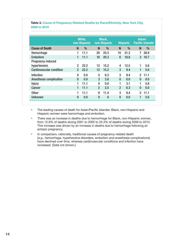#### **Table 3. Cause of Pregnancy-Related Deaths by Race/Ethnicity, New York City, 2006 to 2010**

|                                 |                | White,<br>non-Hispanic |                   | <b>Black,</b><br>non-Hispanic |              | <b>Hispanic</b> | Asian/       | <b>Pacific Islander</b> |
|---------------------------------|----------------|------------------------|-------------------|-------------------------------|--------------|-----------------|--------------|-------------------------|
| <b>Cause of Death</b>           | N              | %                      | N                 | %                             | <b>N</b>     | $\frac{0}{0}$   | <b>N</b>     | %                       |
| Hemorrhage                      |                | 11.1                   | 20                | 25.3                          | 10           | 31.3            | 7            | 38.9                    |
| <b>Embolism</b>                 | 1              | 11.1                   | 16                | 20.3                          | 6            | 18.8            | 3            | 16.7                    |
| Pregnancy-induced               |                |                        |                   |                               |              |                 |              |                         |
| hypertension                    | 2              | 22.2                   | 12                | 15.2                          | 4            | 12.5            |              | 5.6                     |
| <b>Cardiovascular condition</b> | 2 <sup>1</sup> | 22.2                   | $12 \overline{ }$ | 15.2                          | 3            | 9.4             | 1            | 5.6                     |
| Infection                       | $\mathbf{0}$   | 0.0                    | 5                 | 6.3                           | 3            | 9.4             |              | $2$ 11.1                |
| Anesthesia complication         | $\mathbf{0}$   | 0.0                    | 3                 | 3.8                           | $\mathbf{0}$ | 0.0             | $\Omega$     | 0.0                     |
| <b>Injury</b>                   | 1              | 11.1                   | $\Omega$          | 0.0                           | 1            | 3.1             |              | 5.6                     |
| <b>Cancer</b>                   | 1              | 11.1                   | $\overline{2}$    | 2.5                           | 2            | 6.3             | $\mathbf{0}$ | 0.0                     |
| <b>Other</b>                    |                | 11.1                   | 9                 | 11.4                          | 3            | 9.4             | 2            | 11.1                    |
| <b>Unknown</b>                  | $\mathbf{0}$   | 0.0                    | $\mathbf{0}$      | $\Omega$                      | $\mathbf{0}$ | 0.0             | 1            | 5.6                     |

• The leading causes of death for Asian/Pacific Islander, Black, non-Hispanic and Hispanic women were hemorrhage and embolism.

- There was an increase in deaths due to hemorrhage for Black, non-Hispanic women, from 12.9% of deaths during 2001 to 2005 to 25.3% of deaths during 2006 to 2010. This increase was driven by an increase in deaths due to hemorrhage following an ectopic pregnancy.
- In comparison, nationally, traditional causes of pregnancy-related death (e.g., hemorrhage, hypertensive disorders, embolism and anesthesia complications) have declined over time, whereas cardiovascular conditions and infection have increased. (Data not shown.)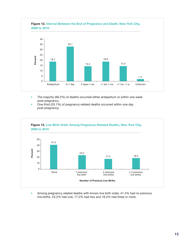

- • The majority (66.2%) of deaths occurred either antepartum or within one week post-pregnancy.
- • One third (33.1%) of pregnancy-related deaths occurred within one day post-pregnancy.



• • Among pregnancy-related deaths with known live birth order, 41.4% had no previous live births, 23.2% had one, 17.2% had two and 18.2% had three or more.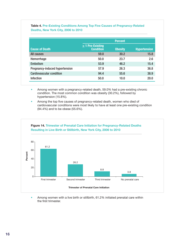|                                 | <b>Percent</b>                       |                |                     |  |
|---------------------------------|--------------------------------------|----------------|---------------------|--|
| <b>Cause of Death</b>           | > 1 Pre-Existing<br><b>Condition</b> | <b>Obesity</b> | <b>Hypertension</b> |  |
| All causes                      | 59.0                                 | 30.2           | 15.8                |  |
| Hemorrhage                      | 50.0                                 | 23.7           | 2.6                 |  |
| <b>Embolism</b>                 | 53.9                                 | 46.2           | 15.4                |  |
| Pregnancy-induced hypertension  | 57.9                                 | 26.3           | 36.8                |  |
| <b>Cardiovascular condition</b> | 94.4                                 | 55.6           | 38.9                |  |
| Infection                       | 50.0                                 | 10.0           | 20.0                |  |

### **Table 4. Pre-Existing Conditions Among Top Five Causes of Pregnancy-Related**

- Among women with a pregnancy-related death, 59.0% had a pre-existing chronic condition. The most common condition was obesity (30.2%), followed by hypertension (15.8%).
- Among the top five causes of pregnancy-related death, women who died of cardiovascular conditions were most likely to have at least one pre-existing condition (94.4%) and to be obese (55.6%).



Among women with a live birth or stillbirth, 61.2% initiated prenatal care within the first trimester.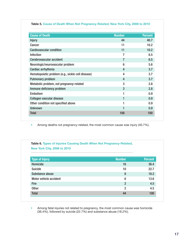| <b>Cause of Death</b>                             | <b>Number</b> | <b>Percent</b> |
|---------------------------------------------------|---------------|----------------|
| <b>Injury</b>                                     | 44            | 40.7           |
| Cancer                                            | 11            | 10.2           |
| <b>Cardiovascular condition</b>                   | 11            | 10.2           |
| <b>Infection</b>                                  | 7             | 6.5            |
| Cerebrovascular accident                          | 7             | 6.5            |
| Neurologic/neurovascular problem                  | 6             | 5.6            |
| Cardiac arrhythmia                                | 4             | 3.7            |
| Hematopoietic problem (e.g., sickle cell disease) | 4             | 3.7            |
| <b>Pulmonary problem</b>                          | 4             | 3.7            |
| Metabolic problem, not pregnancy-related          | 3             | 2.8            |
| Immune deficiency problem                         | 3             | 2.8            |
| <b>Embolism</b>                                   |               | 0.9            |
| Collagen vascular disease                         |               | 0.9            |
| Other condition not specified above               | 1             | 0.9            |
| <b>Unknown</b>                                    |               | 0.9            |
| <b>Total</b>                                      | 108           | 100            |

• Among deaths not pregnancy-related, the most common cause was injury (40.7%).

**Table 6. Types of Injuries Causing Death When Not Pregnancy-Related, New York City, 2006 to 2010** Table 4. Types of Injuries Causing Death When Not Pregnancy-Related, New York City, 2006 to 2010

| <b>Type of Injury</b>  | <b>Number</b>  | <b>Percent</b> |
|------------------------|----------------|----------------|
| Homicide               | 16             | 36.4           |
| <b>Suicide</b>         | 10             | 22.7           |
| Substance abuse        | 8              | 18.2           |
| Motor vehicle accident | 6              | 13.6           |
| <b>Fire</b>            | $\overline{2}$ | 4.5            |
| <b>Other</b>           | $\overline{2}$ | 4.5            |
| <b>Total</b>           | 44             | 100            |

• Among fatal injuries not related to pregnancy, the most common cause was homicide (36.4%), followed by suicide (22.7%) and substance abuse (18.2%).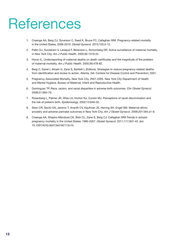### **References**

- 1. Creanga AA, Berg CJ, Syverson C, Seed K, Bruce FC, Callaghan WM. [Pregnancy-related](http://www.ncbi.nlm.nih.gov/pubmed/25560097) mortality in the United States, [2006-2010.](http://www.ncbi.nlm.nih.gov/pubmed/25560097) *Obstet Gynecol.* 2015;125:5-12.
- 2. Pallin DJ, Sundaram V, Laraque F, Berenson L, Schomberg DR. Active surveillance of maternal mortality in New York City. *Am J Public Health.* 2002;92:1319-22.
- 3. Horon IL. Underreporting of maternal deaths on death certificates and the magnitude of the problem of maternal mortality. *Am J Public Health.* 2005;95:478-82.
- 4. Berg C, Danel I, Atrash H, Zane S, Bartlett L (Editors). Strategies to reduce pregnancy-related deaths: from identification and review to action. Atlanta, GA: Centers for Disease Control and Prevention; 2001.
- 5. Pregnancy Associated Mortality, New York City, 2001-2005. New York City Department of Health and Mental Hygiene, Bureau of Maternal, Infant and Reproductive Health.
- 6. Dominguez TP. Race, racism, and racial disparities in adverse birth outcomes. *Clin Obstet Gynecol.* 2008;51:360–70.
- 7. Rosenberg L, Palmer JR, Wise LA, Horton NJ, Corwin MJ. Perceptions of racial discrimination and the risk of preterm birth. *Epidemiology.* 2002;13:646–52.
- 8. Stein CR, Savitz DA, Janevic T, Ananth CV, Kaufman JS, Herring AH, Engel SM. Maternal ethnic ancestry and adverse perinatal outcomes in New York City. *Am J Obstet Gynecol.* 2009;201:584.e1-9.
- 9. Creanga AA, Shapiro-Mendoza CK, Bish CL, Zane S, Berg CJ, Callaghan WM.Trends in ectopic pregnancy mortality in the United States: 1980-2007. *Obstet Gynecol.* 2011;117:837-43. doi: 10.1097/AOG.0b013e3182113c10.